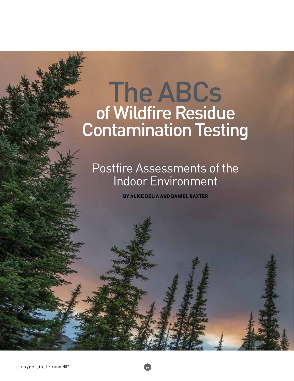# The ABCs of Wildfire Residue Contamination Testing

## Postfire Assessments of the Indoor Environment

BY ALICE DELIA AND DANIEL BAXTER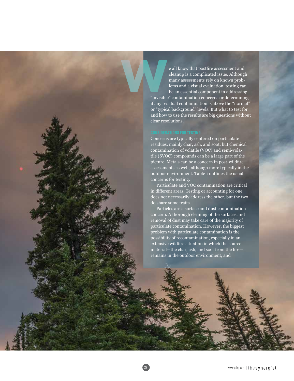e all know that postfire assessment and cleanup is a complicated issue. Although many assessments rely on known problems and a visual evaluation, testing can be an essential component in addressing "invisible" contamination concerns or determining if any residual contamination is above the "normal" or "typical background" levels. But what to test for and how to use the results are big questions without clear resolutions. **www.productionary.com** 

Concerns are typically centered on particulate residues, mainly char, ash, and soot, but chemical contamination of volatile (VOC) and semi-volatile (SVOC) compounds can be a large part of the picture. Metals can be a concern in post-wildfire assessments as well, although more typically in the outdoor environment. Table 1 outlines the usual concerns for testing.

Particulate and VOC contamination are critical in different areas. Testing or accounting for one does not necessarily address the other, but the two do share some traits.

Particles are a surface and dust contamination concern. A thorough cleaning of the surfaces and removal of dust may take care of the majority of particulate contamination. However, the biggest problem with particulate contamination is the possibility of recontamination, especially in an extensive wildfire situation in which the source material—the char, ash, and soot from the fire remains in the outdoor environment, and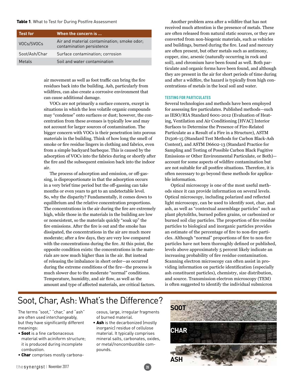#### Table 1. What to Test for During Postfire Assessment

| <b>Test for</b> | When the concern is                                                      |
|-----------------|--------------------------------------------------------------------------|
| VOCs/SVOCs      | Air and material contamination; smoke odor;<br>contamination persistence |
| Soot/Ash/Char   | Surface contamination; corrosion                                         |
| Metals          | Soil and water contamination                                             |

air movement as well as foot traffic can bring the fire residues back into the building. Ash, particularly from wildfires, can also create a corrosive environment that can cause additional damage.

VOCs are not primarily a surface concern, except in situations in which the less volatile organic compounds may "condense" onto surfaces or dust; however, the concentration from these avenues is typically low and may not account for larger sources of contamination. The bigger concern with VOCs is their penetration into porous materials in the building. Think of how long the smell of smoke or fire residue lingers in clothing and fabrics, even from a simple backyard barbeque. This is caused by the adsorption of VOCs into the fabrics during or shortly after the fire and the subsequent emission back into the indoor air.

The process of adsorption and emission, or off-gassing, is disproportionate in that the adsorption occurs in a very brief time period but the off-gassing can take months or even years to get to an undetectable level. So, why the disparity? Fundamentally, it comes down to equilibrium and the relative concentration proportions. The concentrations in the air during the fire are extremely high, while those in the materials in the building are low or nonexistent, so the materials quickly "soak up" the fire emissions. After the fire is out and the smoke has dissipated, the concentrations in the air are much more moderate; after a few days, they are very low compared with the concentrations during the fire. At this point, the opposite condition exists: the concentrations in the materials are now much higher than in the air. But instead of releasing the imbalance in short order—as occurred during the extreme conditions of the fire—the process is much slower due to the moderate "normal" conditions. Temperature, humidity, and air flow, as well as the amount and type of affected materials, are critical factors.

Another problem area after a wildfire that has not received much attention is the presence of metals. These are often released from natural static sources, or they are converted from non-biogenic materials, such as vehicles and buildings, burned during the fire. Lead and mercury are often present, but other metals such as antimony, copper, zinc, arsenic (naturally occurring in rock and soil), and chromium have been found as well. Both particulate and organic forms have been found, and although they are present in the air for short periods of time during and after a wildfire, the hazard is typically from high concentrations of metals in the local soil and water.

#### TESTING FOR PARTICULATES

Several technologies and methods have been employed for assessing fire particulates. Published methods—such as IESO/RIA Standard 6001-2012 (Evaluation of Heating, Ventilation and Air Conditioning [HVAC] Interior Surfaces to Determine the Presence of Fire-Related Particulate as a Result of a Fire in a Structure), ASTM D1506-15 (Standard Test Methods for Carbon Black-Ash Content), and ASTM D6602-13 (Standard Practice for Sampling and Testing of Possible Carbon Black Fugitive Emissions or Other Environmental Particulate, or Both) account for some aspects of wildfire contamination but are not suitable for all postfire situations. Therefore, it is often necessary to go beyond these methods for applicable information.

Optical microscopy is one of the most useful methods since it can provide information on several levels. Optical microscopy, including polarized and reflected light microscopy, can be used to identify soot, char, and ash, as well as "contextual assemblage particles" such as plant phytoliths, burned pollen grains, or carbonized or burned soil clay particles. The proportion of fire residue particles to biological and inorganic particles provides an estimate of the percentage of fire to non-fire particles. Although "normal" proportions of fire to non-fire particles have not been thoroughly defined or published, levels above approximately 5 percent likely indicate an increasing probability of fire residue contamination. Scanning electron microscopy can often assist in providing information on particle identification (especially ash constituent particles), chemistry, size distribution, and source. Transmission electron microscopy (TEM) is often suggested to identify the individual submicron

### Soot, Char, Ash: What's the Difference?

The terms "soot," "char," and "ash" are often used interchangeably, but they have significantly different meanings:

- Soot is a fine carbonaceous material with aciniform structure; it is produced during incomplete combustion.
- Char comprises mostly carbona-

ceous, large, irregular fragments of burned material.

• Ash is the decarbonized (mostly inorganic) residue of cellulose material. It typically comprises mineral salts, carbonates, oxides, or metal/noncombustible compounds.